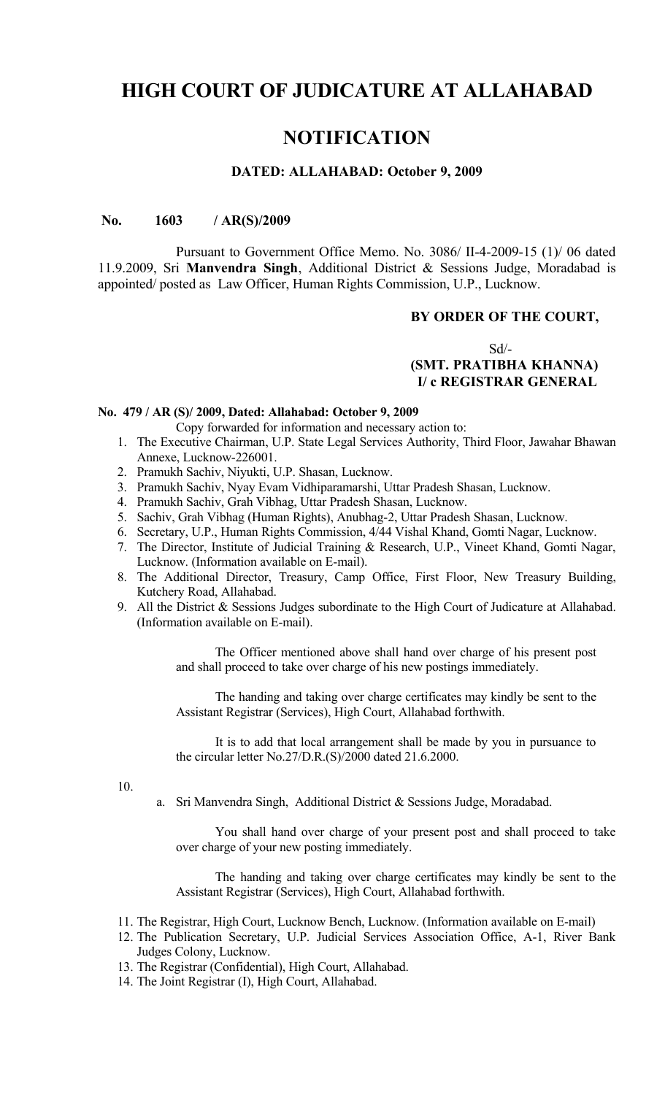# **HIGH COURT OF JUDICATURE AT ALLAHABAD**

# **NOTIFICATION**

### **DATED: ALLAHABAD: October 9, 2009**

#### **No. 1603 / AR(S)/2009**

Pursuant to Government Office Memo. No. 3086/ II-4-2009-15 (1)/ 06 dated 11.9.2009, Sri **Manvendra Singh**, Additional District & Sessions Judge, Moradabad is appointed/ posted as Law Officer, Human Rights Commission, U.P., Lucknow.

#### **BY ORDER OF THE COURT,**

## Sd/-  **(SMT. PRATIBHA KHANNA) I/ c REGISTRAR GENERAL**

#### **No. 479 / AR (S)/ 2009, Dated: Allahabad: October 9, 2009**

- Copy forwarded for information and necessary action to:
- 1. The Executive Chairman, U.P. State Legal Services Authority, Third Floor, Jawahar Bhawan Annexe, Lucknow-226001.
- 2. Pramukh Sachiv, Niyukti, U.P. Shasan, Lucknow.
- 3. Pramukh Sachiv, Nyay Evam Vidhiparamarshi, Uttar Pradesh Shasan, Lucknow.
- 4. Pramukh Sachiv, Grah Vibhag, Uttar Pradesh Shasan, Lucknow.
- 5. Sachiv, Grah Vibhag (Human Rights), Anubhag-2, Uttar Pradesh Shasan, Lucknow.
- 6. Secretary, U.P., Human Rights Commission, 4/44 Vishal Khand, Gomti Nagar, Lucknow.
- 7. The Director, Institute of Judicial Training & Research, U.P., Vineet Khand, Gomti Nagar, Lucknow. (Information available on E-mail).
- 8. The Additional Director, Treasury, Camp Office, First Floor, New Treasury Building, Kutchery Road, Allahabad.
- 9. All the District & Sessions Judges subordinate to the High Court of Judicature at Allahabad. (Information available on E-mail).

The Officer mentioned above shall hand over charge of his present post and shall proceed to take over charge of his new postings immediately.

The handing and taking over charge certificates may kindly be sent to the Assistant Registrar (Services), High Court, Allahabad forthwith.

It is to add that local arrangement shall be made by you in pursuance to the circular letter No.27/D.R.(S)/2000 dated 21.6.2000.

10.

a. Sri Manvendra Singh, Additional District & Sessions Judge, Moradabad.

You shall hand over charge of your present post and shall proceed to take over charge of your new posting immediately.

The handing and taking over charge certificates may kindly be sent to the Assistant Registrar (Services), High Court, Allahabad forthwith.

- 11. The Registrar, High Court, Lucknow Bench, Lucknow. (Information available on E-mail)
- 12. The Publication Secretary, U.P. Judicial Services Association Office, A-1, River Bank Judges Colony, Lucknow.
- 13. The Registrar (Confidential), High Court, Allahabad.
- 14. The Joint Registrar (I), High Court, Allahabad.